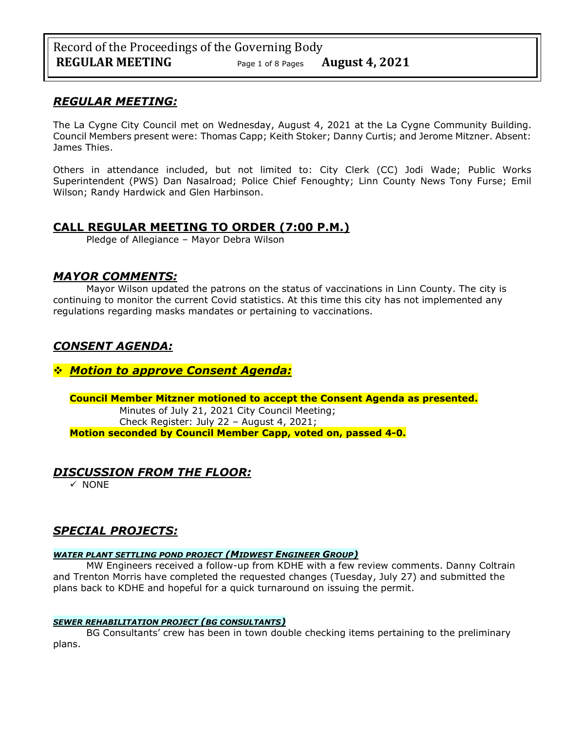## *REGULAR MEETING:*

The La Cygne City Council met on Wednesday, August 4, 2021 at the La Cygne Community Building. Council Members present were: Thomas Capp; Keith Stoker; Danny Curtis; and Jerome Mitzner. Absent: James Thies.

Others in attendance included, but not limited to: City Clerk (CC) Jodi Wade; Public Works Superintendent (PWS) Dan Nasalroad; Police Chief Fenoughty; Linn County News Tony Furse; Emil Wilson; Randy Hardwick and Glen Harbinson.

## **CALL REGULAR MEETING TO ORDER (7:00 P.M.)**

Pledge of Allegiance – Mayor Debra Wilson

## *MAYOR COMMENTS:*

Mayor Wilson updated the patrons on the status of vaccinations in Linn County. The city is continuing to monitor the current Covid statistics. At this time this city has not implemented any regulations regarding masks mandates or pertaining to vaccinations.

## *CONSENT AGENDA:*

## ❖ *Motion to approve Consent Agenda:*

### **Council Member Mitzner motioned to accept the Consent Agenda as presented.**

Minutes of July 21, 2021 City Council Meeting; Check Register: July 22 – August 4, 2021; **Motion seconded by Council Member Capp, voted on, passed 4-0.** 

## *DISCUSSION FROM THE FLOOR:*

✓ NONE

# *SPECIAL PROJECTS:*

### *WATER PLANT SETTLING POND PROJECT (MIDWEST ENGINEER GROUP)*

MW Engineers received a follow-up from KDHE with a few review comments. Danny Coltrain and Trenton Morris have completed the requested changes (Tuesday, July 27) and submitted the plans back to KDHE and hopeful for a quick turnaround on issuing the permit.

### *SEWER REHABILITATION PROJECT (BG CONSULTANTS)*

BG Consultants' crew has been in town double checking items pertaining to the preliminary plans.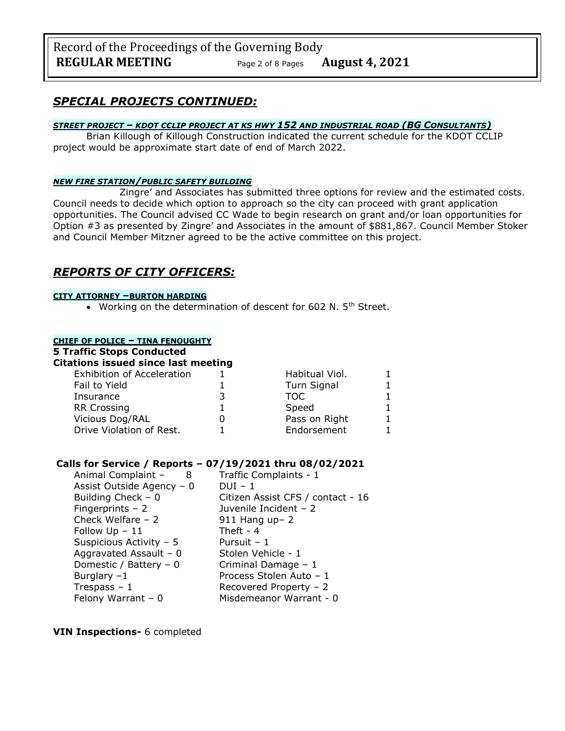Record of the Proceedings of the Governing Body **REGULAR MEETING** Page <sup>2</sup> of 8 Pages **August 4, 2021**

## *SPECIAL PROJECTS CONTINUED:*

#### *STREET PROJECT – KDOT CCLIP PROJECT AT KS HWY 152 AND INDUSTRIAL ROAD (BG CONSULTANTS)*

Brian Killough of Killough Construction indicated the current schedule for the KDOT CCLIP project would be approximate start date of end of March 2022.

#### *NEW FIRE STATION/PUBLIC SAFETY BUILDING*

Zingre' and Associates has submitted three options for review and the estimated costs. Council needs to decide which option to approach so the city can proceed with grant application opportunities. The Council advised CC Wade to begin research on grant and/or loan opportunities for Option #3 as presented by Zingre' and Associates in the amount of \$881,867. Council Member Stoker and Council Member Mitzner agreed to be the active committee on this project.

## *REPORTS OF CITY OFFICERS:*

#### **CITY ATTORNEY –BURTON HARDING**

• Working on the determination of descent for 602 N. 5<sup>th</sup> Street.

### **CHIEF OF POLICE – TINA FENOUGHTY**

# **5 Traffic Stops Conducted**

**Citations issued since last meeting** Exhibition of Acceleration 1 1 Habitual Viol. 1 Fail to Yield 1 Turn Signal 1 Insurance 3 TOC 1 RR Crossing 1 Speed 1 Vicious Dog/RAL 0 Pass on Right 1 Drive Violation of Rest.  $\qquad \qquad 1$  Endorsement 1

### **Calls for Service / Reports – 07/19/2021 thru 08/02/2021**

| Animal Complaint -<br>8   | Traffic Complaints - 1            |
|---------------------------|-----------------------------------|
| Assist Outside Agency - 0 | $DUI - 1$                         |
| Building Check $-0$       | Citizen Assist CFS / contact - 16 |
| Fingerprints $-2$         | Juvenile Incident - 2             |
| Check Welfare $-2$        | 911 Hang up- 2                    |
| Follow $Up - 11$          | Theft - $4$                       |
| Suspicious Activity - 5   | Pursuit - 1                       |
| Aggravated Assault - $0$  | Stolen Vehicle - 1                |
| Domestic / Battery $-0$   | Criminal Damage - 1               |
| Burglary $-1$             | Process Stolen Auto - 1           |
| Trespass $-1$             | Recovered Property - 2            |
| Felony Warrant $-0$       | Misdemeanor Warrant - 0           |

**VIN Inspections-** 6 completed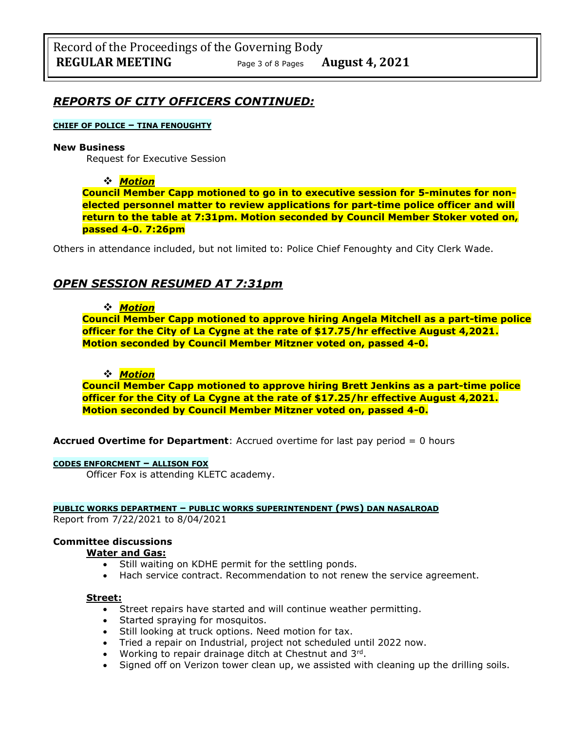## *REPORTS OF CITY OFFICERS CONTINUED:*

#### **CHIEF OF POLICE – TINA FENOUGHTY**

#### **New Business**

Request for Executive Session

#### ❖ *Motion*

**Council Member Capp motioned to go in to executive session for 5-minutes for nonelected personnel matter to review applications for part-time police officer and will return to the table at 7:31pm. Motion seconded by Council Member Stoker voted on, passed 4-0. 7:26pm**

Others in attendance included, but not limited to: Police Chief Fenoughty and City Clerk Wade.

## *OPEN SESSION RESUMED AT 7:31pm*

#### ❖ *Motion*

**Council Member Capp motioned to approve hiring Angela Mitchell as a part-time police officer for the City of La Cygne at the rate of \$17.75/hr effective August 4,2021. Motion seconded by Council Member Mitzner voted on, passed 4-0.**

#### ❖ *Motion*

**Council Member Capp motioned to approve hiring Brett Jenkins as a part-time police officer for the City of La Cygne at the rate of \$17.25/hr effective August 4,2021. Motion seconded by Council Member Mitzner voted on, passed 4-0.**

**Accrued Overtime for Department**: Accrued overtime for last pay period = 0 hours

#### **CODES ENFORCMENT – ALLISON FOX**

Officer Fox is attending KLETC academy.

#### **PUBLIC WORKS DEPARTMENT – PUBLIC WORKS SUPERINTENDENT (PWS) DAN NASALROAD**

Report from 7/22/2021 to 8/04/2021

#### **Committee discussions**

#### **Water and Gas:**

- Still waiting on KDHE permit for the settling ponds.
- Hach service contract. Recommendation to not renew the service agreement.

#### **Street:**

- Street repairs have started and will continue weather permitting.
- Started spraying for mosquitos.
- Still looking at truck options. Need motion for tax.
- Tried a repair on Industrial, project not scheduled until 2022 now.
- Working to repair drainage ditch at Chestnut and 3rd.
- Signed off on Verizon tower clean up, we assisted with cleaning up the drilling soils.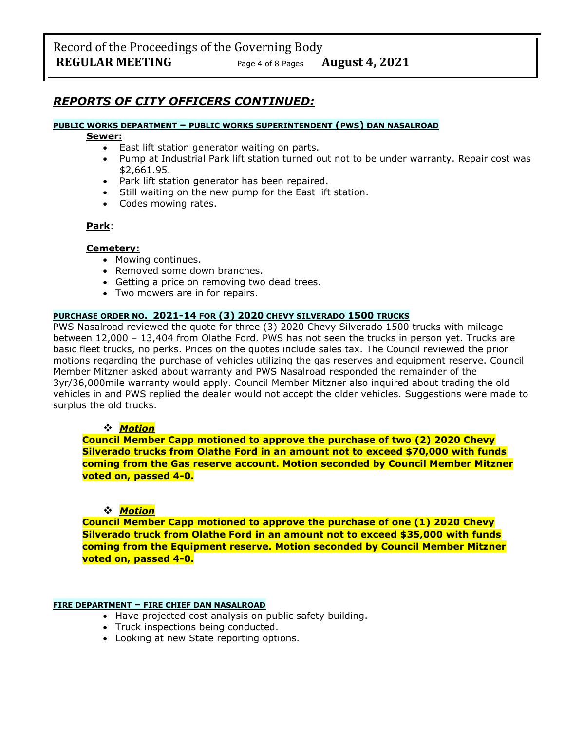## *REPORTS OF CITY OFFICERS CONTINUED:*

#### **PUBLIC WORKS DEPARTMENT – PUBLIC WORKS SUPERINTENDENT (PWS) DAN NASALROAD**

#### **Sewer:**

- East lift station generator waiting on parts.
- Pump at Industrial Park lift station turned out not to be under warranty. Repair cost was \$2,661.95.
- Park lift station generator has been repaired.
- Still waiting on the new pump for the East lift station.
- Codes mowing rates.

### **Park**:

### **Cemetery:**

- Mowing continues.
- Removed some down branches.
- Getting a price on removing two dead trees.
- Two mowers are in for repairs.

### **PURCHASE ORDER NO. 2021-14 FOR (3) 2020 CHEVY SILVERADO 1500 TRUCKS**

PWS Nasalroad reviewed the quote for three (3) 2020 Chevy Silverado 1500 trucks with mileage between 12,000 – 13,404 from Olathe Ford. PWS has not seen the trucks in person yet. Trucks are basic fleet trucks, no perks. Prices on the quotes include sales tax. The Council reviewed the prior motions regarding the purchase of vehicles utilizing the gas reserves and equipment reserve. Council Member Mitzner asked about warranty and PWS Nasalroad responded the remainder of the 3yr/36,000mile warranty would apply. Council Member Mitzner also inquired about trading the old vehicles in and PWS replied the dealer would not accept the older vehicles. Suggestions were made to surplus the old trucks.

### ❖ *Motion*

**Council Member Capp motioned to approve the purchase of two (2) 2020 Chevy Silverado trucks from Olathe Ford in an amount not to exceed \$70,000 with funds coming from the Gas reserve account. Motion seconded by Council Member Mitzner voted on, passed 4-0.**

### ❖ *Motion*

**Council Member Capp motioned to approve the purchase of one (1) 2020 Chevy Silverado truck from Olathe Ford in an amount not to exceed \$35,000 with funds coming from the Equipment reserve. Motion seconded by Council Member Mitzner voted on, passed 4-0.**

### **FIRE DEPARTMENT – FIRE CHIEF DAN NASALROAD**

- Have projected cost analysis on public safety building.
- Truck inspections being conducted.
- Looking at new State reporting options.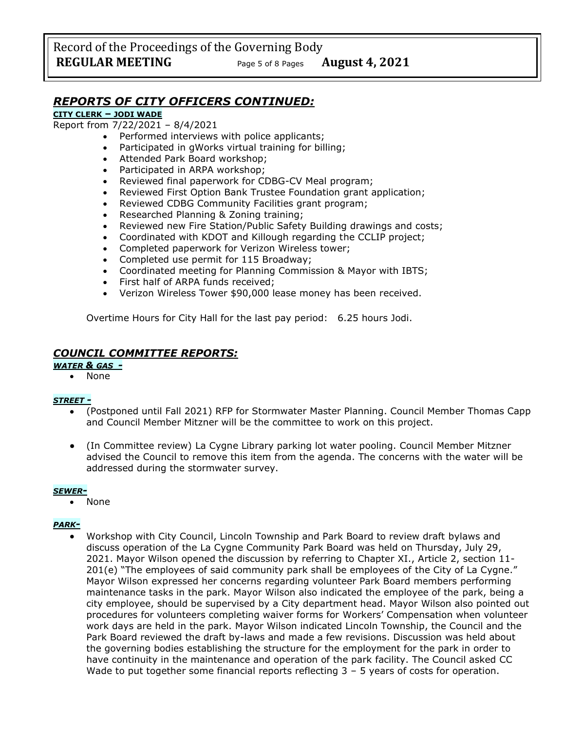Record of the Proceedings of the Governing Body **REGULAR MEETING** Page <sup>5</sup> of 8 Pages **August 4, 2021**

## *REPORTS OF CITY OFFICERS CONTINUED:*

#### **CITY CLERK – JODI WADE**

Report from 7/22/2021 – 8/4/2021

- Performed interviews with police applicants;
- Participated in gWorks virtual training for billing;
- Attended Park Board workshop;
- Participated in ARPA workshop;
- Reviewed final paperwork for CDBG-CV Meal program;
- Reviewed First Option Bank Trustee Foundation grant application;
- Reviewed CDBG Community Facilities grant program;
- Researched Planning & Zoning training;
- Reviewed new Fire Station/Public Safety Building drawings and costs;
- Coordinated with KDOT and Killough regarding the CCLIP project;
- Completed paperwork for Verizon Wireless tower;
- Completed use permit for 115 Broadway;
- Coordinated meeting for Planning Commission & Mayor with IBTS;
- First half of ARPA funds received;
- Verizon Wireless Tower \$90,000 lease money has been received.

Overtime Hours for City Hall for the last pay period: 6.25 hours Jodi.

## *COUNCIL COMMITTEE REPORTS:*

*WATER & GAS -*

• None

#### *STREET -*

- (Postponed until Fall 2021) RFP for Stormwater Master Planning. Council Member Thomas Capp and Council Member Mitzner will be the committee to work on this project.
- (In Committee review) La Cygne Library parking lot water pooling. Council Member Mitzner advised the Council to remove this item from the agenda. The concerns with the water will be addressed during the stormwater survey.

#### *SEWER-*

• None

#### *PARK-*

• Workshop with City Council, Lincoln Township and Park Board to review draft bylaws and discuss operation of the La Cygne Community Park Board was held on Thursday, July 29, 2021. Mayor Wilson opened the discussion by referring to Chapter XI., Article 2, section 11- 201(e) "The employees of said community park shall be employees of the City of La Cygne." Mayor Wilson expressed her concerns regarding volunteer Park Board members performing maintenance tasks in the park. Mayor Wilson also indicated the employee of the park, being a city employee, should be supervised by a City department head. Mayor Wilson also pointed out procedures for volunteers completing waiver forms for Workers' Compensation when volunteer work days are held in the park. Mayor Wilson indicated Lincoln Township, the Council and the Park Board reviewed the draft by-laws and made a few revisions. Discussion was held about the governing bodies establishing the structure for the employment for the park in order to have continuity in the maintenance and operation of the park facility. The Council asked CC Wade to put together some financial reports reflecting  $3 - 5$  years of costs for operation.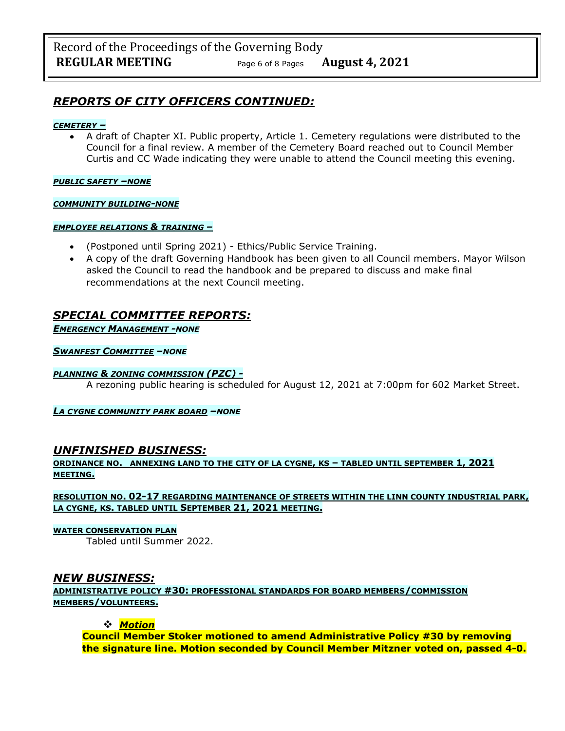## *REPORTS OF CITY OFFICERS CONTINUED:*

#### *CEMETERY –*

• A draft of Chapter XI. Public property, Article 1. Cemetery regulations were distributed to the Council for a final review. A member of the Cemetery Board reached out to Council Member Curtis and CC Wade indicating they were unable to attend the Council meeting this evening.

*PUBLIC SAFETY –NONE*

#### *COMMUNITY BUILDING-NONE*

#### *EMPLOYEE RELATIONS & TRAINING –*

- (Postponed until Spring 2021) Ethics/Public Service Training.
- A copy of the draft Governing Handbook has been given to all Council members. Mayor Wilson asked the Council to read the handbook and be prepared to discuss and make final recommendations at the next Council meeting.

## *SPECIAL COMMITTEE REPORTS:*

*EMERGENCY MANAGEMENT -NONE*

#### *SWANFEST COMMITTEE –NONE*

#### *PLANNING & ZONING COMMISSION (PZC) -*

A rezoning public hearing is scheduled for August 12, 2021 at 7:00pm for 602 Market Street.

#### *LA CYGNE COMMUNITY PARK BOARD –NONE*

## *UNFINISHED BUSINESS:*

### **ORDINANCE NO. ANNEXING LAND TO THE CITY OF LA CYGNE, KS – TABLED UNTIL SEPTEMBER 1, 2021 MEETING.**

### **RESOLUTION NO. 02-17 REGARDING MAINTENANCE OF STREETS WITHIN THE LINN COUNTY INDUSTRIAL PARK, LA CYGNE, KS. TABLED UNTIL SEPTEMBER 21, 2021 MEETING.**

#### **WATER CONSERVATION PLAN**

Tabled until Summer 2022.

## *NEW BUSINESS:*

**ADMINISTRATIVE POLICY #30: PROFESSIONAL STANDARDS FOR BOARD MEMBERS/COMMISSION MEMBERS/VOLUNTEERS.**

### ❖ *Motion*

**Council Member Stoker motioned to amend Administrative Policy #30 by removing the signature line. Motion seconded by Council Member Mitzner voted on, passed 4-0.**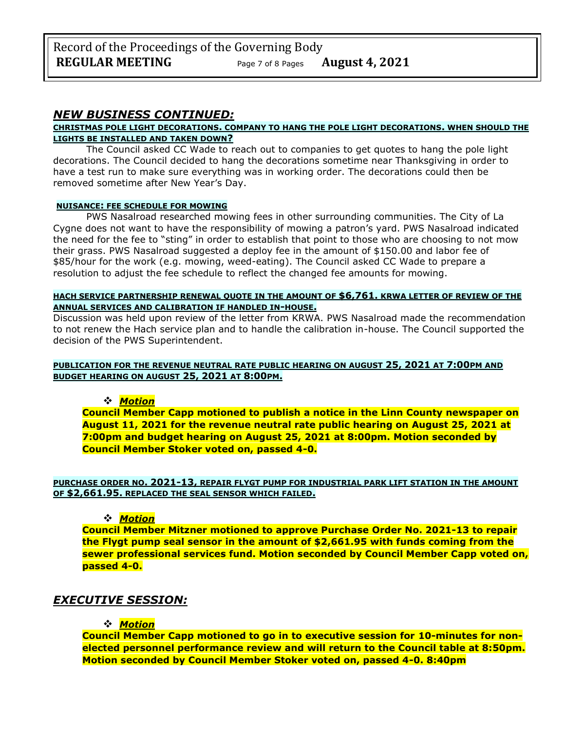## *NEW BUSINESS CONTINUED:*

#### **CHRISTMAS POLE LIGHT DECORATIONS. COMPANY TO HANG THE POLE LIGHT DECORATIONS. WHEN SHOULD THE LIGHTS BE INSTALLED AND TAKEN DOWN?**

The Council asked CC Wade to reach out to companies to get quotes to hang the pole light decorations. The Council decided to hang the decorations sometime near Thanksgiving in order to have a test run to make sure everything was in working order. The decorations could then be removed sometime after New Year's Day.

#### **NUISANCE: FEE SCHEDULE FOR MOWING**

PWS Nasalroad researched mowing fees in other surrounding communities. The City of La Cygne does not want to have the responsibility of mowing a patron's yard. PWS Nasalroad indicated the need for the fee to "sting" in order to establish that point to those who are choosing to not mow their grass. PWS Nasalroad suggested a deploy fee in the amount of \$150.00 and labor fee of \$85/hour for the work (e.g. mowing, weed-eating). The Council asked CC Wade to prepare a resolution to adjust the fee schedule to reflect the changed fee amounts for mowing.

#### **HACH SERVICE PARTNERSHIP RENEWAL QUOTE IN THE AMOUNT OF \$6,761. KRWA LETTER OF REVIEW OF THE ANNUAL SERVICES AND CALIBRATION IF HANDLED IN-HOUSE.**

Discussion was held upon review of the letter from KRWA. PWS Nasalroad made the recommendation to not renew the Hach service plan and to handle the calibration in-house. The Council supported the decision of the PWS Superintendent.

#### **PUBLICATION FOR THE REVENUE NEUTRAL RATE PUBLIC HEARING ON AUGUST 25, 2021 AT 7:00PM AND BUDGET HEARING ON AUGUST 25, 2021 AT 8:00PM.**

### ❖ *Motion*

**Council Member Capp motioned to publish a notice in the Linn County newspaper on August 11, 2021 for the revenue neutral rate public hearing on August 25, 2021 at 7:00pm and budget hearing on August 25, 2021 at 8:00pm. Motion seconded by Council Member Stoker voted on, passed 4-0.**

#### **PURCHASE ORDER NO. 2021-13, REPAIR FLYGT PUMP FOR INDUSTRIAL PARK LIFT STATION IN THE AMOUNT OF \$2,661.95. REPLACED THE SEAL SENSOR WHICH FAILED.**

### ❖ *Motion*

**Council Member Mitzner motioned to approve Purchase Order No. 2021-13 to repair the Flygt pump seal sensor in the amount of \$2,661.95 with funds coming from the sewer professional services fund. Motion seconded by Council Member Capp voted on, passed 4-0.**

## *EXECUTIVE SESSION:*

### ❖ *Motion*

**Council Member Capp motioned to go in to executive session for 10-minutes for nonelected personnel performance review and will return to the Council table at 8:50pm. Motion seconded by Council Member Stoker voted on, passed 4-0. 8:40pm**